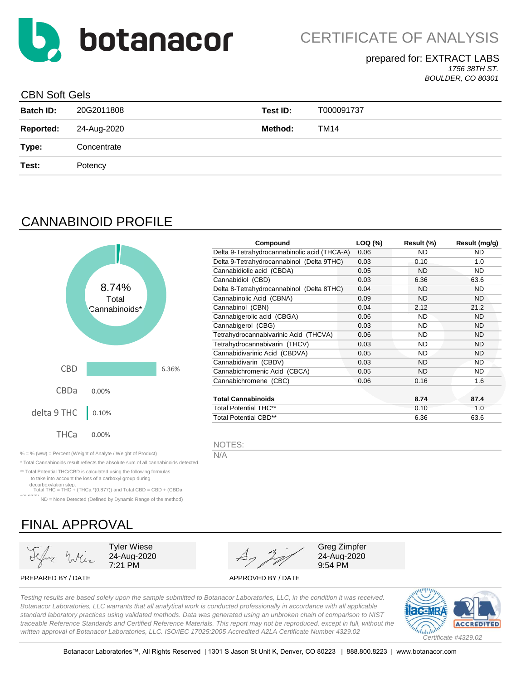

## prepared for: EXTRACT LABS

*1756 38TH ST. BOULDER, CO 80301*

### CBN Soft Gels

| <b>Batch ID:</b> | 20G2011808  | Test ID: | T000091737 |
|------------------|-------------|----------|------------|
| <b>Reported:</b> | 24-Aug-2020 | Method:  | TM14       |
| Type:            | Concentrate |          |            |
| Test:            | Potency     |          |            |
|                  |             |          |            |

# CANNABINOID PROFILE



\* Total Cannabinoids result reflects the absolute sum of all cannabinoids detected. \*\* Total Potential THC/CBD is calculated using the following formulas to take into account the loss of a carboxyl group during decarboxylation step. Total THC = THC + (THCa \*(0.877)) and Total CBD = CBD + (CBDa \*(0.877)) ND = None Detected (Defined by Dynamic Range of the method)

| Compound                                     | LOQ (%) | Result (%) | Result (mg/g) |
|----------------------------------------------|---------|------------|---------------|
| Delta 9-Tetrahydrocannabinolic acid (THCA-A) | 0.06    | ND         | ND            |
| Delta 9-Tetrahydrocannabinol (Delta 9THC)    | 0.03    | 0.10       | 1.0           |
| Cannabidiolic acid (CBDA)                    | 0.05    | ND         | ND.           |
| Cannabidiol (CBD)                            | 0.03    | 6.36       | 63.6          |
| Delta 8-Tetrahydrocannabinol (Delta 8THC)    | 0.04    | ND         | ND.           |
| Cannabinolic Acid (CBNA)                     | 0.09    | <b>ND</b>  | ND.           |
| Cannabinol (CBN)                             | 0.04    | 2.12       | 21.2          |
| Cannabigerolic acid (CBGA)                   | 0.06    | <b>ND</b>  | <b>ND</b>     |
| Cannabigerol (CBG)                           | 0.03    | ND.        | ND.           |
| Tetrahydrocannabivarinic Acid (THCVA)        | 0.06    | <b>ND</b>  | ND.           |
| Tetrahydrocannabivarin (THCV)                | 0.03    | ND         | ND.           |
| Cannabidivarinic Acid (CBDVA)                | 0.05    | ND.        | ND.           |
| Cannabidivarin (CBDV)                        | 0.03    | ND         | ND            |
| Cannabichromenic Acid (CBCA)                 | 0.05    | ND         | ND.           |
| Cannabichromene (CBC)                        | 0.06    | 0.16       | 1.6           |
|                                              |         |            |               |
| <b>Total Cannabinoids</b>                    |         | 8.74       | 87.4          |
| <b>Total Potential THC**</b>                 |         | 0.10       | 1.0           |
| <b>Total Potential CBD**</b>                 |         | 6.36       | 63.6          |

NOTES:

FINAL APPROVAL

Tyler Wiese 24-Aug-2020 7:21 PM

Greg Zimpfer 24-Aug-2020 9:54 PM

PREPARED BY / DATE APPROVED BY / DATE

*Testing results are based solely upon the sample submitted to Botanacor Laboratories, LLC, in the condition it was received. Botanacor Laboratories, LLC warrants that all analytical work is conducted professionally in accordance with all applicable standard laboratory practices using validated methods. Data was generated using an unbroken chain of comparison to NIST traceable Reference Standards and Certified Reference Materials. This report may not be reproduced, except in full, without the written approval of Botanacor Laboratories, LLC. ISO/IEC 17025:2005 Accredited A2LA Certificate Number 4329.02*

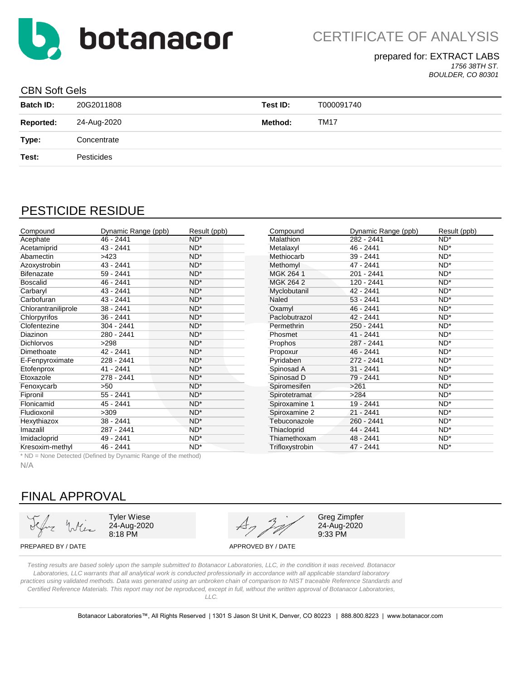

### prepared for: EXTRACT LABS

*1756 38TH ST. BOULDER, CO 80301*

#### CBN Soft Gels

| <b>Batch ID:</b> | 20G2011808  | Test ID: | T000091740  |
|------------------|-------------|----------|-------------|
| <b>Reported:</b> | 24-Aug-2020 | Method:  | <b>TM17</b> |
| Type:            | Concentrate |          |             |
| Test:            | Pesticides  |          |             |

# PESTICIDE RESIDUE

| Compound            | Dynamic Range (ppb) | Result (ppb) | Compound        | Dynamic Range (ppb) | Result (ppb) |
|---------------------|---------------------|--------------|-----------------|---------------------|--------------|
| Acephate            | $46 - 2441$         | $ND^*$       | Malathion       | 282 - 2441          | $ND^*$       |
| Acetamiprid         | 43 - 2441           | $ND^*$       | Metalaxyl       | 46 - 2441           | $ND^*$       |
| Abamectin           | >423                | $ND^*$       | Methiocarb      | $39 - 2441$         | $ND^*$       |
| Azoxystrobin        | 43 - 2441           | $ND^*$       | Methomyl        | $47 - 2441$         | $ND^*$       |
| <b>Bifenazate</b>   | 59 - 2441           | $ND^*$       | MGK 264 1       | 201 - 2441          | $ND^*$       |
| <b>Boscalid</b>     | 46 - 2441           | $ND^*$       | MGK 264 2       | 120 - 2441          | $ND^*$       |
| Carbaryl            | 43 - 2441           | $ND^*$       | Myclobutanil    | 42 - 2441           | $ND^*$       |
| Carbofuran          | 43 - 2441           | $ND^*$       | Naled           | $53 - 2441$         | $ND^*$       |
| Chlorantraniliprole | $38 - 2441$         | $ND^*$       | Oxamyl          | $46 - 2441$         | $ND^*$       |
| Chlorpyrifos        | $36 - 2441$         | $ND^*$       | Paclobutrazol   | $42 - 2441$         | $ND^*$       |
| Clofentezine        | $304 - 2441$        | $ND^*$       | Permethrin      | 250 - 2441          | $ND^*$       |
| Diazinon            | 280 - 2441          | $ND^*$       | Phosmet         | $41 - 2441$         | $ND^*$       |
| <b>Dichlorvos</b>   | >298                | $ND^*$       | Prophos         | 287 - 2441          | $ND^*$       |
| Dimethoate          | 42 - 2441           | $ND^*$       | Propoxur        | $46 - 2441$         | $ND^*$       |
| E-Fenpyroximate     | 228 - 2441          | $ND^*$       | Pyridaben       | 272 - 2441          | $ND^*$       |
| Etofenprox          | $41 - 2441$         | $ND^*$       | Spinosad A      | $31 - 2441$         | $ND^*$       |
| Etoxazole           | 278 - 2441          | $ND^*$       | Spinosad D      | 79 - 2441           | $ND^*$       |
| Fenoxycarb          | >50                 | $ND^*$       | Spiromesifen    | >261                | $ND^*$       |
| Fipronil            | $55 - 2441$         | $ND^*$       | Spirotetramat   | >284                | $ND^*$       |
| Flonicamid          | 45 - 2441           | $ND^*$       | Spiroxamine 1   | 19 - 2441           | $ND^*$       |
| Fludioxonil         | >309                | $ND^*$       | Spiroxamine 2   | $21 - 2441$         | $ND^*$       |
| Hexythiazox         | $38 - 2441$         | $ND^*$       | Tebuconazole    | 260 - 2441          | $ND^*$       |
| Imazalil            | 287 - 2441          | $ND^*$       | Thiacloprid     | 44 - 2441           | $ND^*$       |
| Imidacloprid        | 49 - 2441           | $ND^*$       | Thiamethoxam    | 48 - 2441           | $ND^*$       |
| Kresoxim-methyl     | 46 - 2441           | $ND^*$       | Trifloxystrobin | 47 - 2441           | $ND^*$       |

\* ND = None Detected (Defined by Dynamic Range of the method)

N/A

# FINAL APPROVAL

Tyler Wiese 24-Aug-2020 8:18 PM



Greg Zimpfer 24-Aug-2020 9:33 PM

PREPARED BY / DATE APPROVED BY / DATE

*Testing results are based solely upon the sample submitted to Botanacor Laboratories, LLC, in the condition it was received. Botanacor Laboratories, LLC warrants that all analytical work is conducted professionally in accordance with all applicable standard laboratory practices using validated methods. Data was generated using an unbroken chain of comparison to NIST traceable Reference Standards and Certified Reference Materials. This report may not be reproduced, except in full, without the written approval of Botanacor Laboratories, LLC.*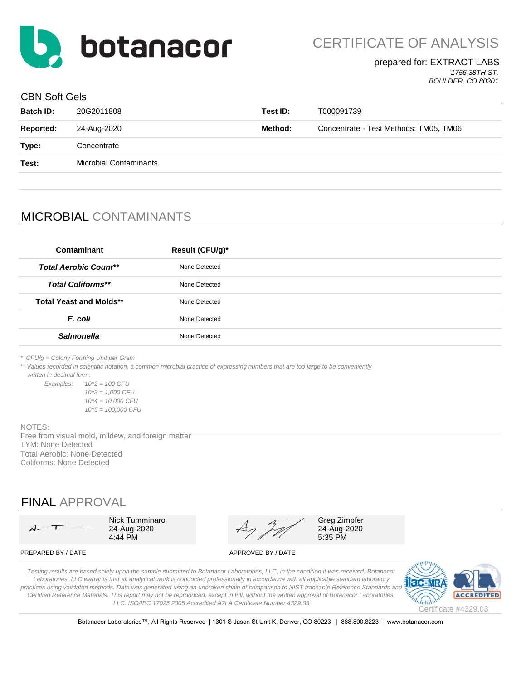

#### prepared for: EXTRACT LABS *1756 38TH ST.*

*BOULDER, CO 80301*

#### CBN Soft Gels

| <b>Batch ID:</b> | 20G2011808                    | Test ID: | T000091739                             |
|------------------|-------------------------------|----------|----------------------------------------|
| <b>Reported:</b> | 24-Aug-2020                   | Method:  | Concentrate - Test Methods: TM05, TM06 |
| Type:            | Concentrate                   |          |                                        |
| Test:            | <b>Microbial Contaminants</b> |          |                                        |
|                  |                               |          |                                        |

# MICROBIAL CONTAMINANTS

| Contaminant                    | Result (CFU/g)* |
|--------------------------------|-----------------|
| <b>Total Aerobic Count**</b>   | None Detected   |
| <b>Total Coliforms**</b>       | None Detected   |
| <b>Total Yeast and Molds**</b> | None Detected   |
| E. coli                        | None Detected   |
| <b>Salmonella</b>              | None Detected   |
|                                |                 |

*\* CFU/g = Colony Forming Unit per Gram*

\*\* Values recorded in scientific notation, a common microbial practice of expressing numbers that are too large to be conveniently  *written in decimal form.*

*Examples: 10^2 = 100 CFU 10^3 = 1,000 CFU 10^4 = 10,000 CFU 10^5 = 100,000 CFU*

#### NOTES:

TYM: None Detected Total Aerobic: None Detected Coliforms: None Detected Free from visual mold, mildew, and foreign matter

# FINAL APPROVAL

| $\lambda$ |  |
|-----------|--|

4:44 PM

Nick Tumminaro Greg Zimpfer<br>
24-Aug-2020  $A_7$  21-Aug-2020  $A_7$   $A_7$   $A_{24}$   $A_{24}$   $A_{25}$   $A_{26}$   $A_{27}$   $A_{28}$   $A_{29}$   $A_{29}$   $A_{20}$   $A_{20}$   $A_{20}$ 

PREPARED BY / DATE APPROVED BY / DATE

*Testing results are based solely upon the sample submitted to Botanacor Laboratories, LLC, in the condition it was received. Botanacor Laboratories, LLC warrants that all analytical work is conducted professionally in accordance with all applicable standard laboratory*  practices using validated methods. Data was generated using an unbroken chain of comparison to NIST traceable Reference Standards and *Certified Reference Materials. This report may not be reproduced, except in full, without the written approval of Botanacor Laboratories, LLC. ISO/IEC 17025:2005 Accredited A2LA Certificate Number 4329.03*



Botanacor Laboratories™, All Rights Reserved | 1301 S Jason St Unit K, Denver, CO 80223 | 888.800.8223 | www.botanacor.com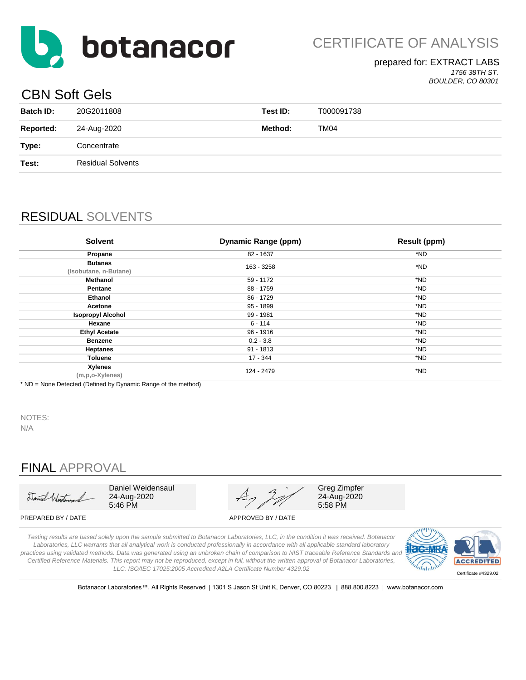

#### prepared for: EXTRACT LABS *1756 38TH ST. BOULDER, CO 80301*

# CBN Soft Gels

|                  | _ _ _ _ _ _ _ _ _        |          |            |  |
|------------------|--------------------------|----------|------------|--|
| <b>Batch ID:</b> | 20G2011808               | Test ID: | T000091738 |  |
| <b>Reported:</b> | 24-Aug-2020              | Method:  | TM04       |  |
| Type:            | Concentrate              |          |            |  |
| Test:            | <b>Residual Solvents</b> |          |            |  |
|                  |                          |          |            |  |

# RESIDUAL SOLVENTS

| <b>Solvent</b>                          | Dynamic Range (ppm) | <b>Result (ppm)</b> |
|-----------------------------------------|---------------------|---------------------|
| Propane                                 | 82 - 1637           | *ND                 |
| <b>Butanes</b><br>(Isobutane, n-Butane) | 163 - 3258          | *ND                 |
| Methanol                                | 59 - 1172           | *ND                 |
| Pentane                                 | 88 - 1759           | *ND                 |
| Ethanol                                 | 86 - 1729           | *ND                 |
| Acetone                                 | 95 - 1899           | *ND                 |
| <b>Isopropyl Alcohol</b>                | 99 - 1981           | *ND                 |
| Hexane                                  | $6 - 114$           | *ND                 |
| <b>Ethyl Acetate</b>                    | 96 - 1916           | *ND                 |
| <b>Benzene</b>                          | $0.2 - 3.8$         | *ND                 |
| <b>Heptanes</b>                         | $91 - 1813$         | *ND                 |
| <b>Toluene</b>                          | $17 - 344$          | *ND                 |
| <b>Xylenes</b><br>(m,p,o-Xylenes)       | 124 - 2479          | *ND                 |

\* ND = None Detected (Defined by Dynamic Range of the method)

NOTES:

N/A

# FINAL APPROVAL

Daniel Westerson

Daniel Weidensaul 24-Aug-2020 5:46 PM



Greg Zimpfer 24-Aug-2020 5:58 PM

PREPARED BY / DATE APPROVED BY / DATE

*Testing results are based solely upon the sample submitted to Botanacor Laboratories, LLC, in the condition it was received. Botanacor Laboratories, LLC warrants that all analytical work is conducted professionally in accordance with all applicable standard laboratory practices using validated methods. Data was generated using an unbroken chain of comparison to NIST traceable Reference Standards and Certified Reference Materials. This report may not be reproduced, except in full, without the written approval of Botanacor Laboratories, LLC. ISO/IEC 17025:2005 Accredited A2LA Certificate Number 4329.02*



Botanacor Laboratories™, All Rights Reserved | 1301 S Jason St Unit K, Denver, CO 80223 | 888.800.8223 | www.botanacor.com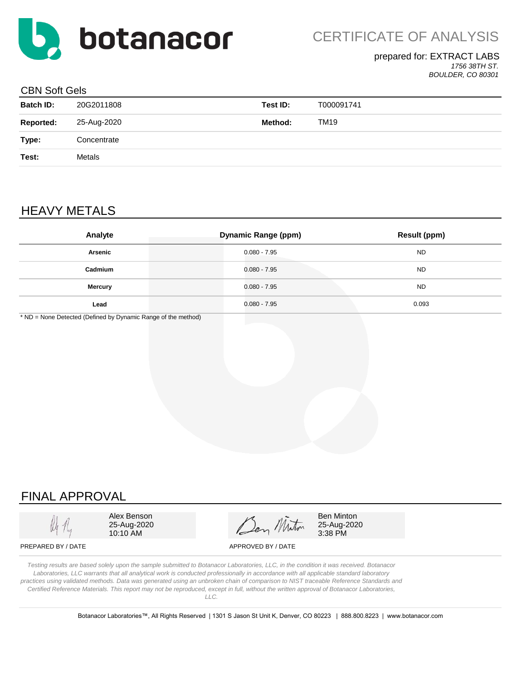![](_page_4_Picture_0.jpeg)

### prepared for: EXTRACT LABS

*1756 38TH ST. BOULDER, CO 80301*

#### CBN Soft Gels

| <b>Batch ID:</b> | 20G2011808  | Test ID: | T000091741 |
|------------------|-------------|----------|------------|
| <b>Reported:</b> | 25-Aug-2020 | Method:  | TM19       |
| Type:            | Concentrate |          |            |
| Test:            | Metals      |          |            |
|                  |             |          |            |

# HEAVY METALS

| Analyte        | <b>Dynamic Range (ppm)</b> | <b>Result (ppm)</b> |
|----------------|----------------------------|---------------------|
| Arsenic        | $0.080 - 7.95$             | <b>ND</b>           |
| Cadmium        | $0.080 - 7.95$             | <b>ND</b>           |
| <b>Mercury</b> | $0.080 - 7.95$             | <b>ND</b>           |
| Lead           | 0.080 - 7.95               | 0.093               |

\* ND = None Detected (Defined by Dynamic Range of the method)

# FINAL APPROVAL

Alex Benson 25-Aug-2020 10:10 AM

Ben Minton

Ben Minton 25-Aug-2020 3:38 PM

PREPARED BY / DATE APPROVED BY / DATE

*Testing results are based solely upon the sample submitted to Botanacor Laboratories, LLC, in the condition it was received. Botanacor Laboratories, LLC warrants that all analytical work is conducted professionally in accordance with all applicable standard laboratory practices using validated methods. Data was generated using an unbroken chain of comparison to NIST traceable Reference Standards and Certified Reference Materials. This report may not be reproduced, except in full, without the written approval of Botanacor Laboratories, LLC.*